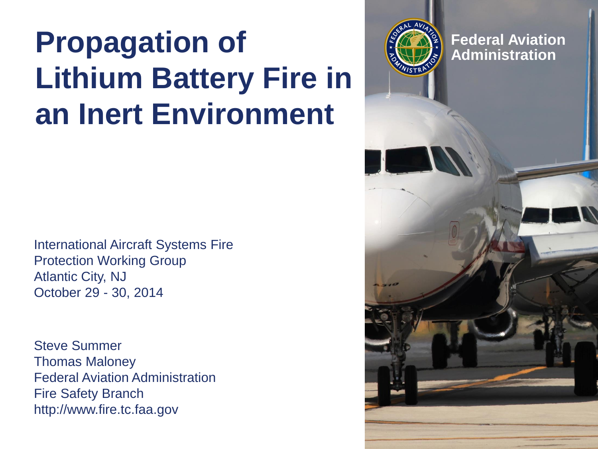### **Propagation of Lithium Battery Fire in an Inert Environment**

International Aircraft Systems Fire Protection Working Group Atlantic City, NJ October 29 - 30, 2014

Steve Summer Thomas Maloney Federal Aviation Administration Fire Safety Branch http://www.fire.tc.faa.gov

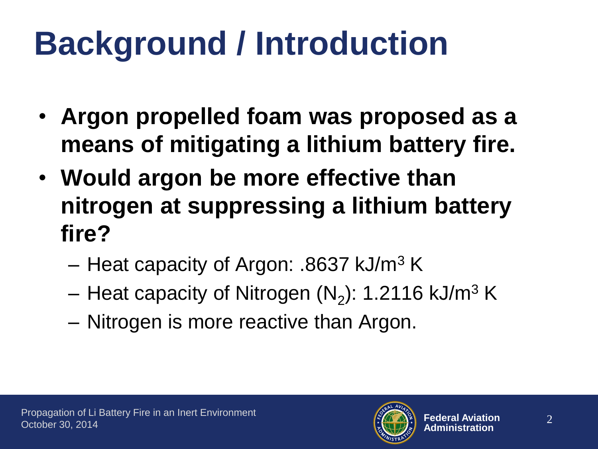# **Background / Introduction**

- **Argon propelled foam was proposed as a means of mitigating a lithium battery fire.**
- **Would argon be more effective than nitrogen at suppressing a lithium battery fire?**
	- Heat capacity of Argon: .8637 kJ/m<sup>3</sup> K
	- Heat capacity of Nitrogen (N<sub>2</sub>): 1.2116 kJ/m<sup>3</sup> K
	- Nitrogen is more reactive than Argon.

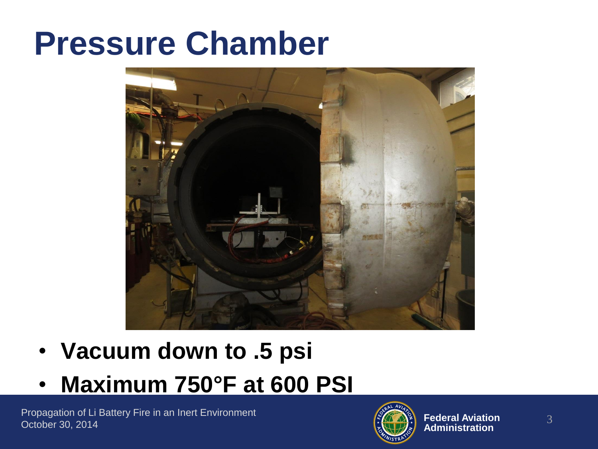## **Pressure Chamber**



- **Vacuum down to .5 psi**
- **Maximum 750°F at 600 PSI**

Propagation of Li Battery Fire in an Inert Environment October 30, 2014

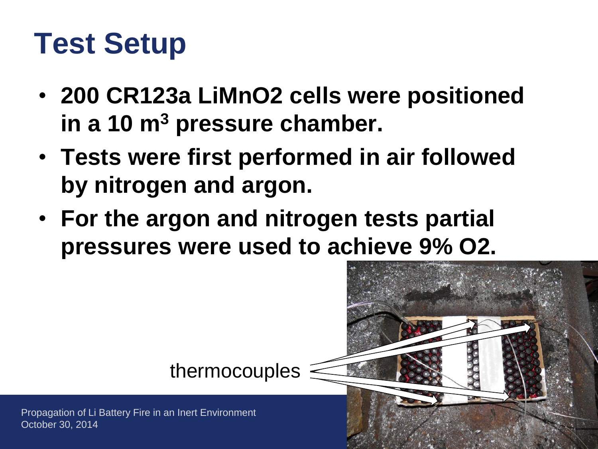### **Test Setup**

- **200 CR123a LiMnO2 cells were positioned in a 10 m<sup>3</sup> pressure chamber.**
- **Tests were first performed in air followed by nitrogen and argon.**
- **For the argon and nitrogen tests partial pressures were used to achieve 9% O2.**



Propagation of Li Battery Fire in an Inert Environment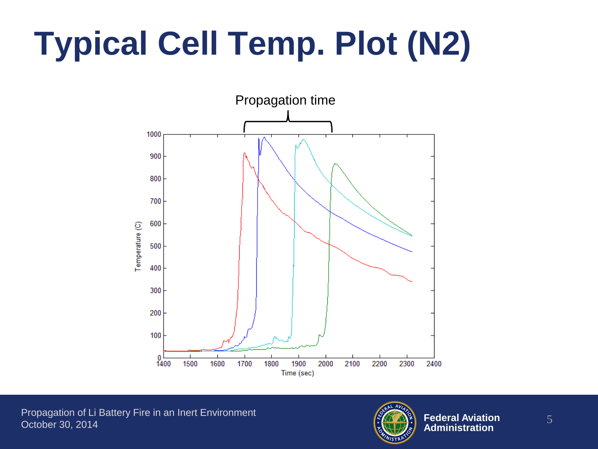# **Typical Cell Temp. Plot (N2)**



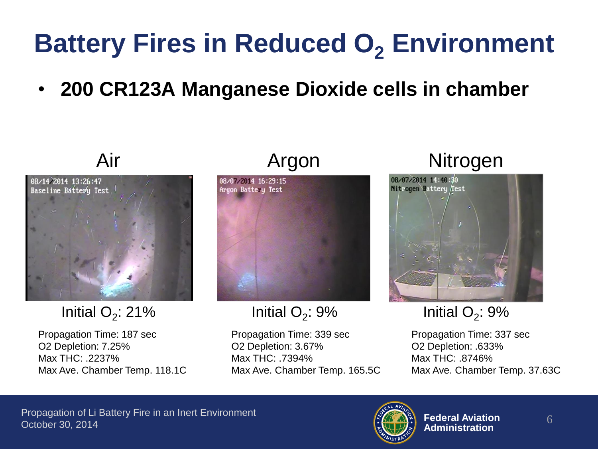#### **Battery Fires in Reduced O<sup>2</sup> Environment**

• **200 CR123A Manganese Dioxide cells in chamber**



Initial  $O_2$ : 21%

Propagation Time: 187 sec O2 Depletion: 7.25% Max THC: .2237% Max Ave. Chamber Temp. 118.1C



: 21%  $\blacksquare$  Thitial  $O_2$ : 9%  $\blacksquare$  Initial  $O_2$ : 9%

Propagation Time: 339 sec O2 Depletion: 3.67% Max THC: .7394% Max Ave. Chamber Temp. 165.5C

#### Air Argon Nitrogen



#### Initial  $O<sub>2</sub>$ : 9%

Propagation Time: 337 sec O2 Depletion: .633% Max THC: .8746% Max Ave. Chamber Temp. 37.63C

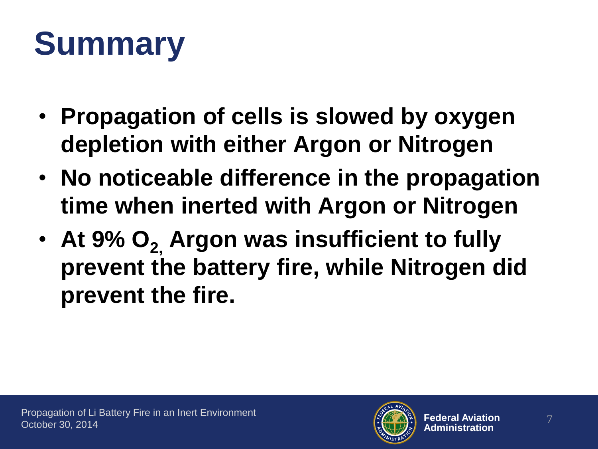# **Summary**

- **Propagation of cells is slowed by oxygen depletion with either Argon or Nitrogen**
- **No noticeable difference in the propagation time when inerted with Argon or Nitrogen**
- **At 9% O2, Argon was insufficient to fully prevent the battery fire, while Nitrogen did prevent the fire.**